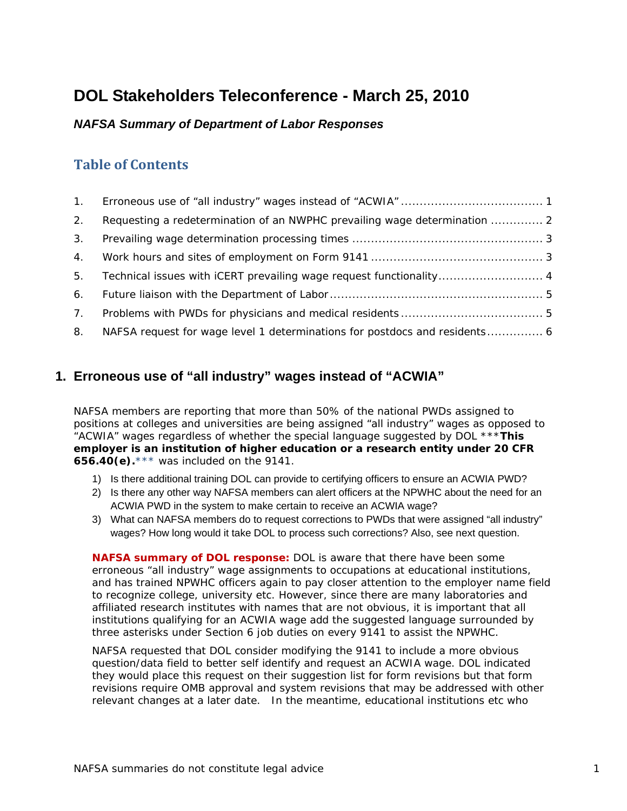# <span id="page-0-0"></span>**DOL Stakeholders Teleconference - March 25, 2010**

### *NAFSA Summary of Department of Labor Responses*

# **Table of Contents**

| $\mathbf{1}$ . |                                                                           |
|----------------|---------------------------------------------------------------------------|
| 2.             | Requesting a redetermination of an NWPHC prevailing wage determination  2 |
| 3.             |                                                                           |
| 4.             |                                                                           |
| 5.             | Technical issues with iCERT prevailing wage request functionality 4       |
| 6.             |                                                                           |
| $7_{\odot}$    |                                                                           |
| 8.             |                                                                           |

## **1. Erroneous use of "all industry" wages instead of "ACWIA"**

NAFSA members are reporting that more than 50% of the national PWDs assigned to positions at colleges and universities are being assigned "all industry" wages as opposed to "ACWIA" wages regardless of whether the special language suggested by DOL \*\*\***This employer is an institution of higher education or a research entity under 20 CFR 656.40(e).**\*\*\* was included on the 9141.

- 1) Is there additional training DOL can provide to certifying officers to ensure an ACWIA PWD?
- 2) Is there any other way NAFSA members can alert officers at the NPWHC about the need for an ACWIA PWD in the system to make certain to receive an ACWIA wage?
- 3) What can NAFSA members do to request corrections to PWDs that were assigned "all industry" wages? How long would it take DOL to process such corrections? Also, see next question.

**NAFSA summary of DOL response:** DOL is aware that there have been some erroneous "all industry" wage assignments to occupations at educational institutions, and has trained NPWHC officers again to pay closer attention to the employer name field to recognize college, university etc. However, since there are many laboratories and affiliated research institutes with names that are not obvious, it is important that all institutions qualifying for an ACWIA wage add the suggested language surrounded by three asterisks under Section 6 job duties on every 9141 to assist the NPWHC.

NAFSA requested that DOL consider modifying the 9141 to include a more obvious question/data field to better self identify and request an ACWIA wage. DOL indicated they would place this request on their suggestion list for form revisions but that form revisions require OMB approval and system revisions that may be addressed with other relevant changes at a later date. In the meantime, educational institutions etc who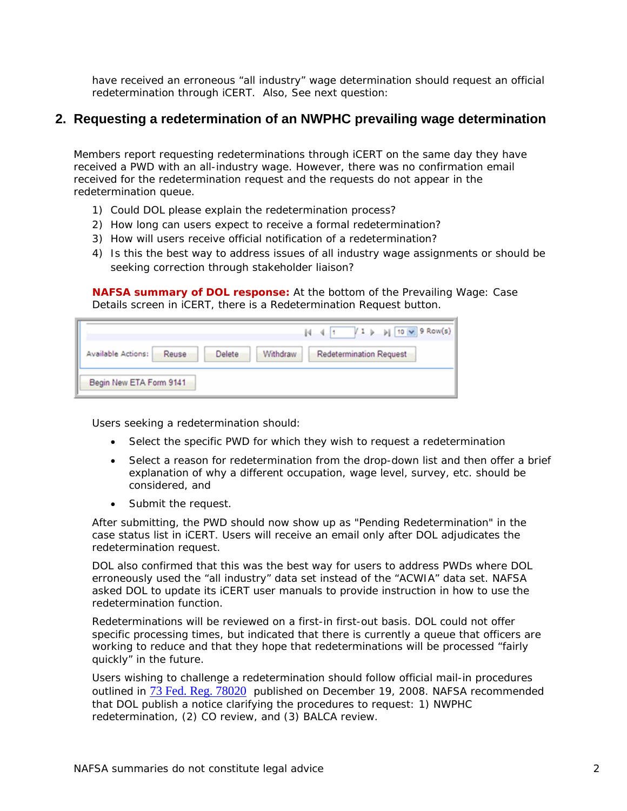<span id="page-1-0"></span>have received an erroneous "all industry" wage determination should request an official redetermination through iCERT. Also, See next question:

#### **2. Requesting a redetermination of an NWPHC prevailing wage determination**

Members report requesting redeterminations through iCERT on the same day they have received a PWD with an all-industry wage. However, there was no confirmation email received for the redetermination request and the requests do not appear in the redetermination queue.

- 1) Could DOL please explain the redetermination process?
- 2) How long can users expect to receive a formal redetermination?
- 3) How will users receive official notification of a redetermination?
- 4) Is this the best way to address issues of all industry wage assignments or should be seeking correction through stakeholder liaison?

**NAFSA summary of DOL response:** At the bottom of the Prevailing Wage: Case Details screen in iCERT, there is a Redetermination Request button.

|                                                          | $\left  1 \right $ $\left  10 \right $ 9 Row(s)<br>$ 4 - 4 $ 1 |
|----------------------------------------------------------|----------------------------------------------------------------|
| Available Actions:<br>Withdraw<br><b>Delete</b><br>Reuse | <b>Redetermination Request</b>                                 |
| Begin New ETA Form 9141                                  |                                                                |

Users seeking a redetermination should:

- Select the specific PWD for which they wish to request a redetermination
- Select a reason for redetermination from the drop-down list and then offer a brief explanation of why a different occupation, wage level, survey, etc. should be considered, and
- Submit the request.

After submitting, the PWD should now show up as "Pending Redetermination" in the case status list in iCERT. Users will receive an email only *after* DOL adjudicates the redetermination request.

DOL also confirmed that this was the best way for users to address PWDs where DOL erroneously used the "all industry" data set instead of the "ACWIA" data set. NAFSA asked DOL to update its iCERT user manuals to provide instruction in how to use the redetermination function.

Redeterminations will be reviewed on a first-in first-out basis. DOL could not offer specific processing times, but indicated that there is currently a queue that officers are working to reduce and that they hope that redeterminations will be processed "fairly quickly" in the future.

Users wishing to challenge a *redetermination* should follow official mail-in procedures outlined in [73 Fed. Reg. 78020](http://www.nafsa.org/resourcelibrary/default.aspx?id=10566) published on December 19, 2008. NAFSA recommended that DOL publish a notice clarifying the procedures to request: 1) NWPHC redetermination, (2) CO review, and (3) BALCA review.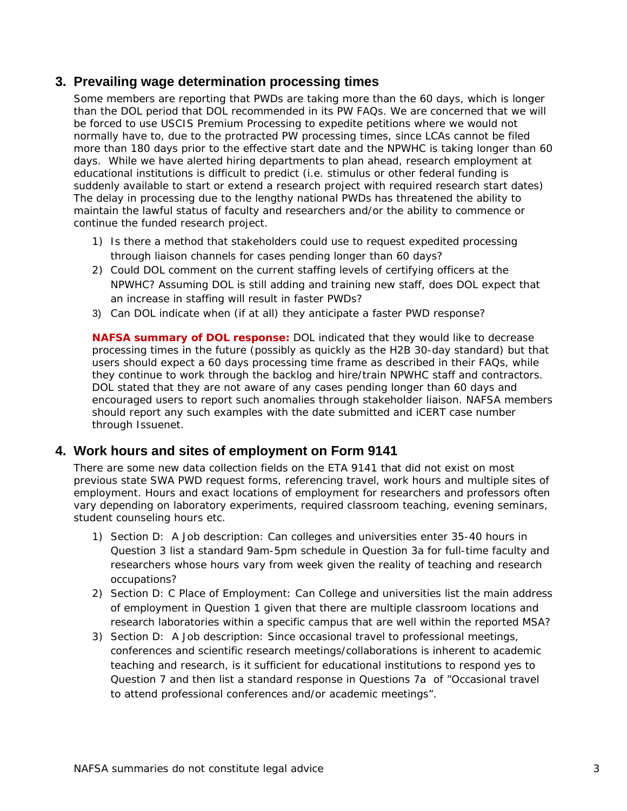#### <span id="page-2-0"></span>**3. Prevailing wage determination processing times**

Some members are reporting that PWDs are taking more than the 60 days, which is longer than the DOL period that DOL recommended in its PW FAQs. We are concerned that we will be forced to use USCIS Premium Processing to expedite petitions where we would not normally have to, due to the protracted PW processing times, since LCAs cannot be filed more than 180 days prior to the effective start date and the NPWHC is taking longer than 60 days. While we have alerted hiring departments to plan ahead, research employment at educational institutions is difficult to predict (i.e. stimulus or other federal funding is suddenly available to start or extend a research project with required research start dates) The delay in processing due to the lengthy national PWDs has threatened the ability to maintain the lawful status of faculty and researchers and/or the ability to commence or continue the funded research project.

- 1) Is there a method that stakeholders could use to request expedited processing through liaison channels for cases pending longer than 60 days?
- 2) Could DOL comment on the current staffing levels of certifying officers at the NPWHC? Assuming DOL is still adding and training new staff, does DOL expect that an increase in staffing will result in faster PWDs?
- 3) Can DOL indicate when (if at all) they anticipate a faster PWD response?

**NAFSA summary of DOL response:** DOL indicated that they would like to decrease processing times in the future (possibly as quickly as the H2B 30-day standard) but that users should expect a 60 days processing time frame as described in their FAQs, while they continue to work through the backlog and hire/train NPWHC staff and contractors. DOL stated that they are not aware of any cases pending longer than 60 days and encouraged users to report such anomalies through stakeholder liaison. NAFSA members should report any such examples with the date submitted and iCERT case number through Issuenet.

## **4. Work hours and sites of employment on Form 9141**

There are some new data collection fields on the ETA 9141 that did not exist on most previous state SWA PWD request forms, referencing travel, work hours and multiple sites of employment. Hours and exact locations of employment for researchers and professors often vary depending on laboratory experiments, required classroom teaching, evening seminars, student counseling hours etc.

- 1) Section D: A Job description: Can colleges and universities enter 35-40 hours in Question 3 list a standard 9am-5pm schedule in Question 3a for full-time faculty and researchers whose hours vary from week given the reality of teaching and research occupations?
- 2) Section D: C Place of Employment: Can College and universities list the main address of employment in Question 1 given that there are multiple classroom locations and research laboratories within a specific campus that are well within the reported MSA?
- 3) Section D: A Job description: Since occasional travel to professional meetings, conferences and scientific research meetings/collaborations is inherent to academic teaching and research, is it sufficient for educational institutions to respond yes to Question 7 and then list a standard response in Questions 7a of "Occasional travel to attend professional conferences and/or academic meetings".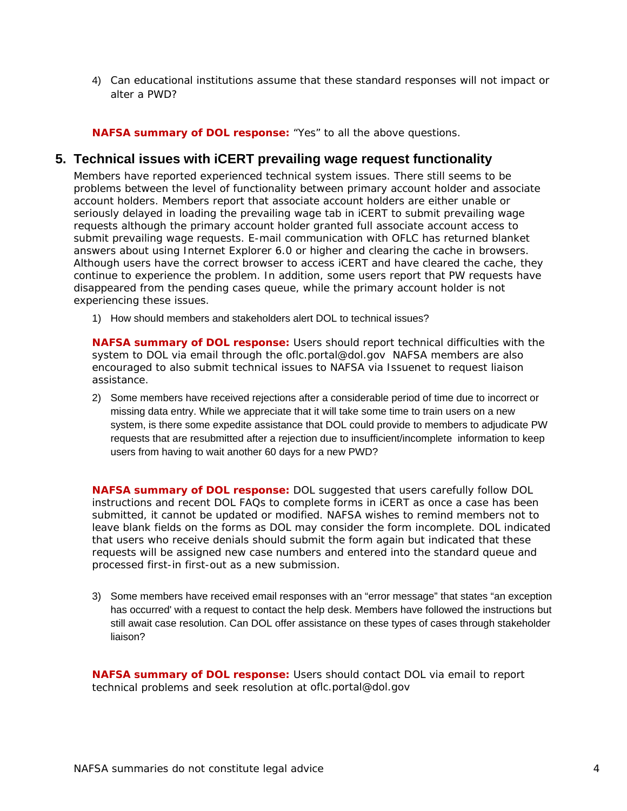<span id="page-3-0"></span>4) Can educational institutions assume that these standard responses will not impact or alter a PWD?

**NAFSA summary of DOL response:** "Yes" to all the above questions.

#### **5. Technical issues with iCERT prevailing wage request functionality**

Members have reported experienced technical system issues. There still seems to be problems between the level of functionality between primary account holder and associate account holders. Members report that associate account holders are either unable or seriously delayed in loading the prevailing wage tab in iCERT to submit prevailing wage requests although the primary account holder granted full associate account access to submit prevailing wage requests. E-mail communication with OFLC has returned blanket answers about using Internet Explorer 6.0 or higher and clearing the cache in browsers. Although users have the correct browser to access iCERT and have cleared the cache, they continue to experience the problem. In addition, some users report that PW requests have disappeared from the pending cases queue, while the primary account holder is not experiencing these issues.

1) How should members and stakeholders alert DOL to technical issues?

**NAFSA summary of DOL response:** Users should report technical difficulties with the system to DOL via email through the [oflc.portal@dol.gov](mailto:oflc.portal@dol.gov) NAFSA members are also encouraged to also submit technical issues to NAFSA via Issuenet to request liaison assistance.

2) Some members have received rejections after a considerable period of time due to incorrect or missing data entry. While we appreciate that it will take some time to train users on a new system, is there some expedite assistance that DOL could provide to members to adjudicate PW requests that are resubmitted after a rejection due to insufficient/incomplete information to keep users from having to wait another 60 days for a new PWD?

**NAFSA summary of DOL response:** DOL suggested that users carefully follow DOL instructions and recent DOL FAQs to complete forms in iCERT as once a case has been submitted, it cannot be updated or modified. NAFSA wishes to remind members not to leave blank fields on the forms as DOL may consider the form incomplete. DOL indicated that users who receive denials should submit the form again but indicated that these requests will be assigned new case numbers and entered into the standard queue and processed first-in first-out as a new submission.

3) Some members have received email responses with an "error message" that states "an exception has occurred' with a request to contact the help desk. Members have followed the instructions but still await case resolution. Can DOL offer assistance on these types of cases through stakeholder liaison?

**NAFSA summary of DOL response:** Users should contact DOL via email to report technical problems and seek resolution at [oflc.portal@dol.gov](mailto:oflc.portal@dol.gov)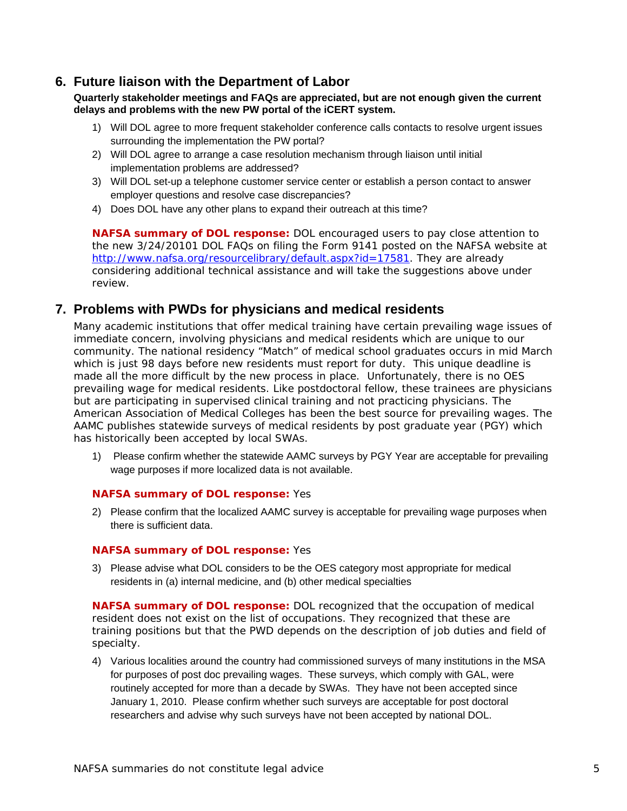### <span id="page-4-0"></span>**6. Future liaison with the Department of Labor**

**Quarterly stakeholder meetings and FAQs are appreciated, but are not enough given the current delays and problems with the new PW portal of the iCERT system.** 

- 1) Will DOL agree to more frequent stakeholder conference calls contacts to resolve urgent issues surrounding the implementation the PW portal?
- 2) Will DOL agree to arrange a case resolution mechanism through liaison until initial implementation problems are addressed?
- 3) Will DOL set-up a telephone customer service center or establish a person contact to answer employer questions and resolve case discrepancies?
- 4) Does DOL have any other plans to expand their outreach at this time?

**NAFSA summary of DOL response:** DOL encouraged users to pay close attention to the new 3/24/20101 DOL FAQs on filing the Form 9141 posted on the NAFSA website at <http://www.nafsa.org/resourcelibrary/default.aspx?id=17581>. They are already considering additional technical assistance and will take the suggestions above under review.

### **7. Problems with PWDs for physicians and medical residents**

Many academic institutions that offer medical training have certain prevailing wage issues of immediate concern, involving physicians and medical residents which are unique to our community. The national residency "Match" of medical school graduates occurs in mid March which is just 98 days before new residents must report for duty. This unique deadline is made all the more difficult by the new process in place. Unfortunately, there is no OES prevailing wage for medical residents. Like postdoctoral fellow, these trainees are physicians but are participating in supervised clinical training and not practicing physicians. The American Association of Medical Colleges has been the best source for prevailing wages. The AAMC publishes statewide surveys of medical residents by post graduate year (PGY) which has historically been accepted by local SWAs.

1) Please confirm whether the statewide AAMC surveys by PGY Year are acceptable for prevailing wage purposes if more localized data is not available.

#### **NAFSA summary of DOL response:** Yes

2) Please confirm that the localized AAMC survey is acceptable for prevailing wage purposes when there is sufficient data.

#### **NAFSA summary of DOL response:** Yes

3) Please advise what DOL considers to be the OES category most appropriate for medical residents in (a) internal medicine, and (b) other medical specialties

**NAFSA summary of DOL response:** DOL recognized that the occupation of medical resident does not exist on the list of occupations. They recognized that these are training positions but that the PWD depends on the description of job duties and field of specialty.

4) Various localities around the country had commissioned surveys of many institutions in the MSA for purposes of post doc prevailing wages. These surveys, which comply with GAL, were routinely accepted for more than a decade by SWAs. They have not been accepted since January 1, 2010. Please confirm whether such surveys are acceptable for post doctoral researchers and advise why such surveys have not been accepted by national DOL.